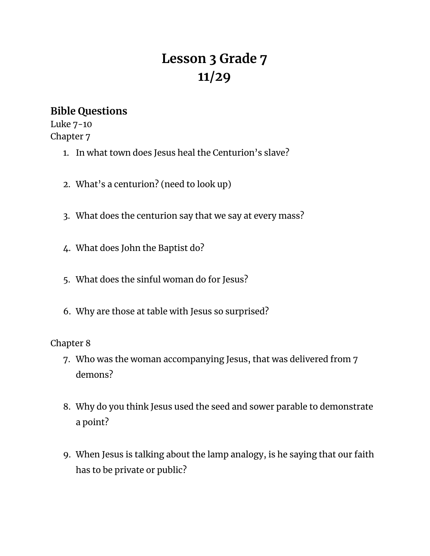# **Lesson 3 Grade 7 11/29**

## **Bible Questions**

Luke 7-10 Chapter 7

- 1. In what town does Jesus heal the Centurion's slave?
- 2. What's a centurion? (need to look up)
- 3. What does the centurion say that we say at every mass?
- 4. What does John the Baptist do?
- 5. What does the sinful woman do for Jesus?
- 6. Why are those at table with Jesus so surprised?

### Chapter 8

- 7. Who was the woman accompanying Jesus, that was delivered from 7 demons?
- 8. Why do you think Jesus used the seed and sower parable to demonstrate a point?
- 9. When Jesus is talking about the lamp analogy, is he saying that our faith has to be private or public?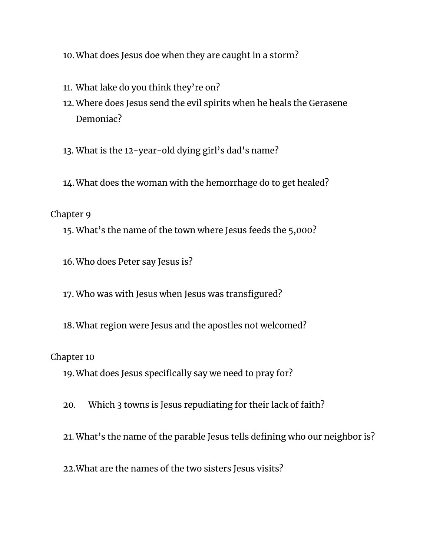- 10.What does Jesus doe when they are caught in a storm?
- 11. What lake do you think they're on?
- 12. Where does Jesus send the evil spirits when he heals the Gerasene Demoniac?
- 13. What is the 12-year-old dying girl's dad's name?
- 14.What does the woman with the hemorrhage do to get healed?

#### Chapter 9

15. What's the name of the town where Jesus feeds the 5,000?

16.Who does Peter say Jesus is?

- 17. Who was with Jesus when Jesus was transfigured?
- 18.What region were Jesus and the apostles not welcomed?

Chapter 10

19.What does Jesus specifically say we need to pray for?

20. Which 3 towns is Jesus repudiating for their lack of faith?

21. What's the name of the parable Jesus tells defining who our neighbor is?

22.What are the names of the two sisters Jesus visits?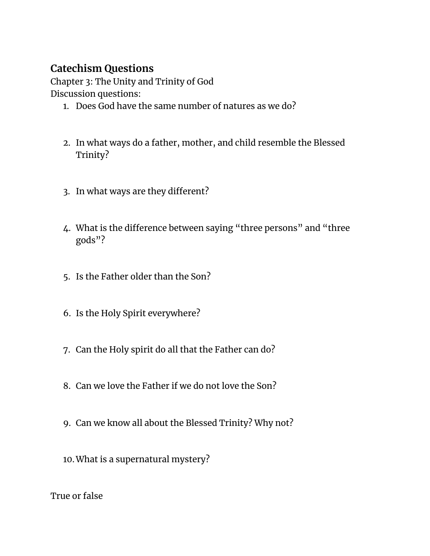# **Catechism Questions**

Chapter 3: The Unity and Trinity of God Discussion questions:

- 1. Does God have the same number of natures as we do?
- 2. In what ways do a father, mother, and child resemble the Blessed Trinity?
- 3. In what ways are they different?
- 4. What is the difference between saying "three persons" and "three gods"?
- 5. Is the Father older than the Son?
- 6. Is the Holy Spirit everywhere?
- 7. Can the Holy spirit do all that the Father can do?
- 8. Can we love the Father if we do not love the Son?
- 9. Can we know all about the Blessed Trinity? Why not?
- 10.What is a supernatural mystery?

True or false